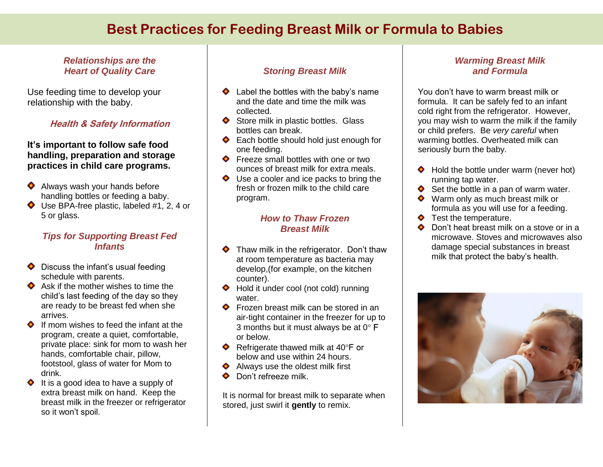# **Best Practices for Feeding Breast Milk or Formula to Babies**

## *Relationships are the Heart of Quality Care*

Use feeding time to develop your relationship with the baby.

# **Health & Safety Information**

### **It's important to follow safe food handling, preparation and storage practices in child care programs.**

- Always wash your hands before ۰ handling bottles or feeding a baby.
- ◆ Use BPA-free plastic, labeled #1, 2, 4 or 5 or glass.

# *Tips for Supporting Breast Fed Infants*

- $\bullet$  Discuss the infant's usual feeding schedule with parents.
- $\bullet$  Ask if the mother wishes to time the child's last feeding of the day so they are ready to be breast fed when she arrives.
- $\bullet$  If mom wishes to feed the infant at the program, create a quiet, comfortable, private place: sink for mom to wash her hands, comfortable chair, pillow, footstool, glass of water for Mom to drink.
- $\blacklozenge$  It is a good idea to have a supply of extra breast milk on hand. Keep the breast milk in the freezer or refrigerator so it won't spoil.

# *Storing Breast Milk*

- $\blacklozenge$  Label the bottles with the baby's name and the date and time the milk was collected.
- $\bullet$  Store milk in plastic bottles. Glass bottles can break.
- ◆ Each bottle should hold just enough for one feeding.
- ◆ Freeze small bottles with one or two ounces of breast milk for extra meals.
- ◆ Use a cooler and ice packs to bring the fresh or frozen milk to the child care program.

#### *How to Thaw Frozen Breast Milk*

- $\blacklozenge$  Thaw milk in the refrigerator. Don't thaw at room temperature as bacteria may develop,(for example, on the kitchen counter).
- ◆ Hold it under cool (not cold) running water.
- ◆ Frozen breast milk can be stored in an air-tight container in the freezer for up to 3 months but it must always be at  $0^{\circ}$  F or below.
- $\blacklozenge$  Refrigerate thawed milk at 40 $\degree$ F or below and use within 24 hours.
- $\blacklozenge$  Always use the oldest milk first
- Don't refreeze milk.

It is normal for breast milk to separate when stored, just swirl it **gently** to remix.

# *Warming Breast Milk and Formula*

You don't have to warm breast milk or formula. It can be safely fed to an infant cold right from the refrigerator. However, you may wish to warm the milk if the family or child prefers. Be *very careful* when warming bottles. Overheated milk can seriously burn the baby.

- ◆ Hold the bottle under warm (never hot) running tap water.
- $\bullet$  Set the bottle in a pan of warm water.
- ◆ Warm only as much breast milk or formula as you will use for a feeding.
- ◆ Test the temperature.
- Don't heat breast milk on a stove or in a microwave. Stoves and microwaves also damage special substances in breast milk that protect the baby's health.